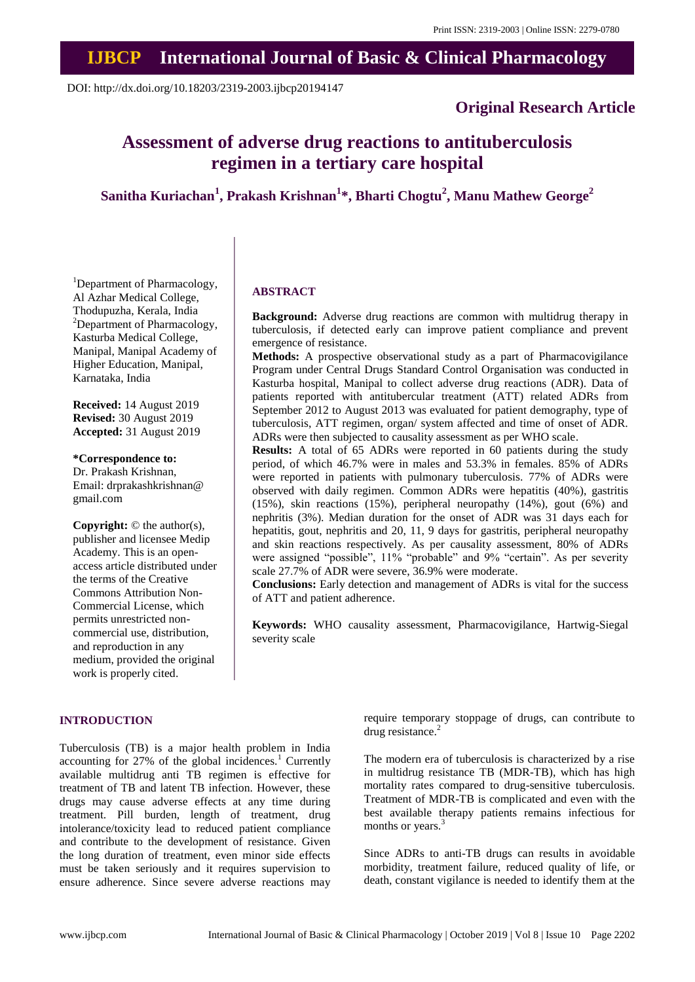# **IJBCP International Journal of Basic & Clinical Pharmacology**

DOI: http://dx.doi.org/10.18203/2319-2003.ijbcp20194147

# **Original Research Article**

# **Assessment of adverse drug reactions to antituberculosis regimen in a tertiary care hospital**

# **Sanitha Kuriachan<sup>1</sup> , Prakash Krishnan<sup>1</sup> \*, Bharti Chogtu<sup>2</sup> , Manu Mathew George<sup>2</sup>**

<sup>1</sup>Department of Pharmacology, Al Azhar Medical College, Thodupuzha, Kerala, India <sup>2</sup>Department of Pharmacology, Kasturba Medical College, Manipal, Manipal Academy of Higher Education, Manipal, Karnataka, India

**Received:** 14 August 2019 **Revised:** 30 August 2019 **Accepted:** 31 August 2019

**\*Correspondence to:** Dr. Prakash Krishnan, Email: drprakashkrishnan@ gmail.com

**Copyright:** © the author(s), publisher and licensee Medip Academy. This is an openaccess article distributed under the terms of the Creative Commons Attribution Non-Commercial License, which permits unrestricted noncommercial use, distribution, and reproduction in any medium, provided the original work is properly cited.

#### **ABSTRACT**

**Background:** Adverse drug reactions are common with multidrug therapy in tuberculosis, if detected early can improve patient compliance and prevent emergence of resistance.

**Methods:** A prospective observational study as a part of Pharmacovigilance Program under Central Drugs Standard Control Organisation was conducted in Kasturba hospital, Manipal to collect adverse drug reactions (ADR). Data of patients reported with antitubercular treatment (ATT) related ADRs from September 2012 to August 2013 was evaluated for patient demography, type of tuberculosis, ATT regimen, organ/ system affected and time of onset of ADR. ADRs were then subjected to causality assessment as per WHO scale.

**Results:** A total of 65 ADRs were reported in 60 patients during the study period, of which 46.7% were in males and 53.3% in females. 85% of ADRs were reported in patients with pulmonary tuberculosis. 77% of ADRs were observed with daily regimen. Common ADRs were hepatitis (40%), gastritis (15%), skin reactions (15%), peripheral neuropathy (14%), gout (6%) and nephritis (3%). Median duration for the onset of ADR was 31 days each for hepatitis, gout, nephritis and 20, 11, 9 days for gastritis, peripheral neuropathy and skin reactions respectively. As per causality assessment, 80% of ADRs were assigned "possible", 11% "probable" and 9% "certain". As per severity scale 27.7% of ADR were severe, 36.9% were moderate.

**Conclusions:** Early detection and management of ADRs is vital for the success of ATT and patient adherence.

**Keywords:** WHO causality assessment, Pharmacovigilance, Hartwig-Siegal severity scale

### **INTRODUCTION**

Tuberculosis (TB) is a major health problem in India accounting for  $27\%$  of the global incidences.<sup>1</sup> Currently available multidrug anti TB regimen is effective for treatment of TB and latent TB infection. However, these drugs may cause adverse effects at any time during treatment. Pill burden, length of treatment, drug intolerance/toxicity lead to reduced patient compliance and contribute to the development of resistance. Given the long duration of treatment, even minor side effects must be taken seriously and it requires supervision to ensure adherence. Since severe adverse reactions may require temporary stoppage of drugs, can contribute to drug resistance. $2$ 

The modern era of tuberculosis is characterized by a rise in multidrug resistance TB (MDR-TB), which has high mortality rates compared to drug-sensitive tuberculosis. Treatment of MDR-TB is complicated and even with the best available therapy patients remains infectious for months or years.<sup>3</sup>

Since ADRs to anti-TB drugs can results in avoidable morbidity, treatment failure, reduced quality of life, or death, constant vigilance is needed to identify them at the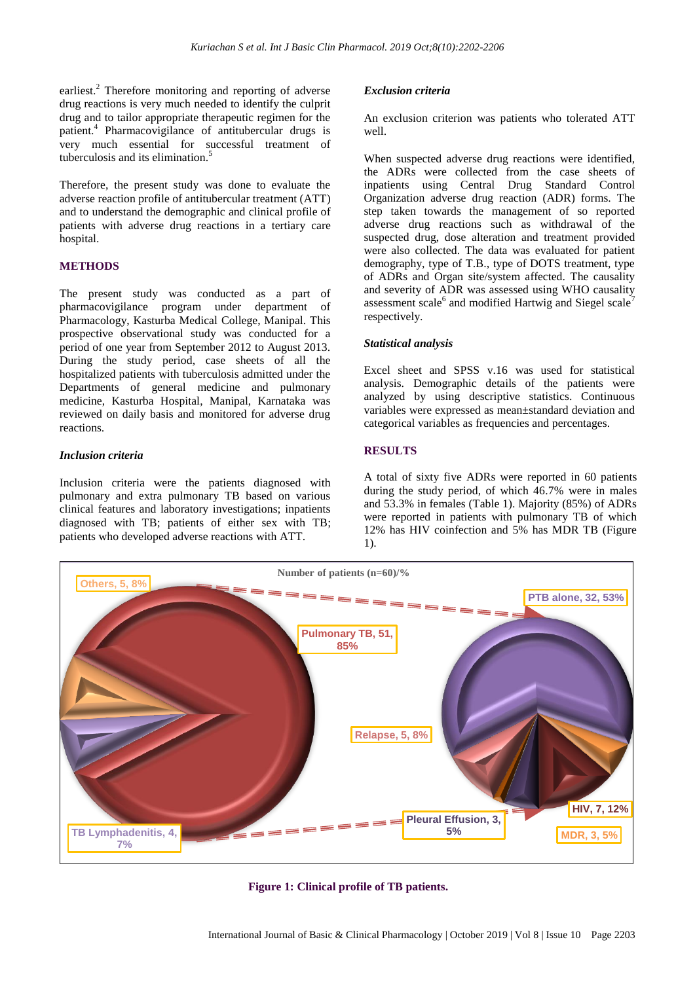earliest.<sup>2</sup> Therefore monitoring and reporting of adverse drug reactions is very much needed to identify the culprit drug and to tailor appropriate therapeutic regimen for the patient.<sup>4</sup> Pharmacovigilance of antitubercular drugs is very much essential for successful treatment of tuberculosis and its elimination. 5

Therefore, the present study was done to evaluate the adverse reaction profile of antitubercular treatment (ATT) and to understand the demographic and clinical profile of patients with adverse drug reactions in a tertiary care hospital.

## **METHODS**

The present study was conducted as a part of pharmacovigilance program under department of Pharmacology, Kasturba Medical College, Manipal. This prospective observational study was conducted for a period of one year from September 2012 to August 2013. During the study period, case sheets of all the hospitalized patients with tuberculosis admitted under the Departments of general medicine and pulmonary medicine, Kasturba Hospital, Manipal, Karnataka was reviewed on daily basis and monitored for adverse drug reactions.

## *Inclusion criteria*

Inclusion criteria were the patients diagnosed with pulmonary and extra pulmonary TB based on various clinical features and laboratory investigations; inpatients diagnosed with TB; patients of either sex with TB; patients who developed adverse reactions with ATT.

#### *Exclusion criteria*

An exclusion criterion was patients who tolerated ATT well.

When suspected adverse drug reactions were identified, the ADRs were collected from the case sheets of inpatients using Central Drug Standard Control Organization adverse drug reaction (ADR) forms. The step taken towards the management of so reported adverse drug reactions such as withdrawal of the suspected drug, dose alteration and treatment provided were also collected. The data was evaluated for patient demography, type of T.B., type of DOTS treatment, type of ADRs and Organ site/system affected. The causality and severity of ADR was assessed using WHO causality assessment scale<sup>6</sup> and modified Hartwig and Siegel scale<sup>7</sup> respectively.

#### *Statistical analysis*

Excel sheet and SPSS v.16 was used for statistical analysis. Demographic details of the patients were analyzed by using descriptive statistics. Continuous variables were expressed as mean±standard deviation and categorical variables as frequencies and percentages.

#### **RESULTS**

A total of sixty five ADRs were reported in 60 patients during the study period, of which 46.7% were in males and 53.3% in females (Table 1). Majority (85%) of ADRs were reported in patients with pulmonary TB of which 12% has HIV coinfection and 5% has MDR TB (Figure 1).



**Figure 1: Clinical profile of TB patients.**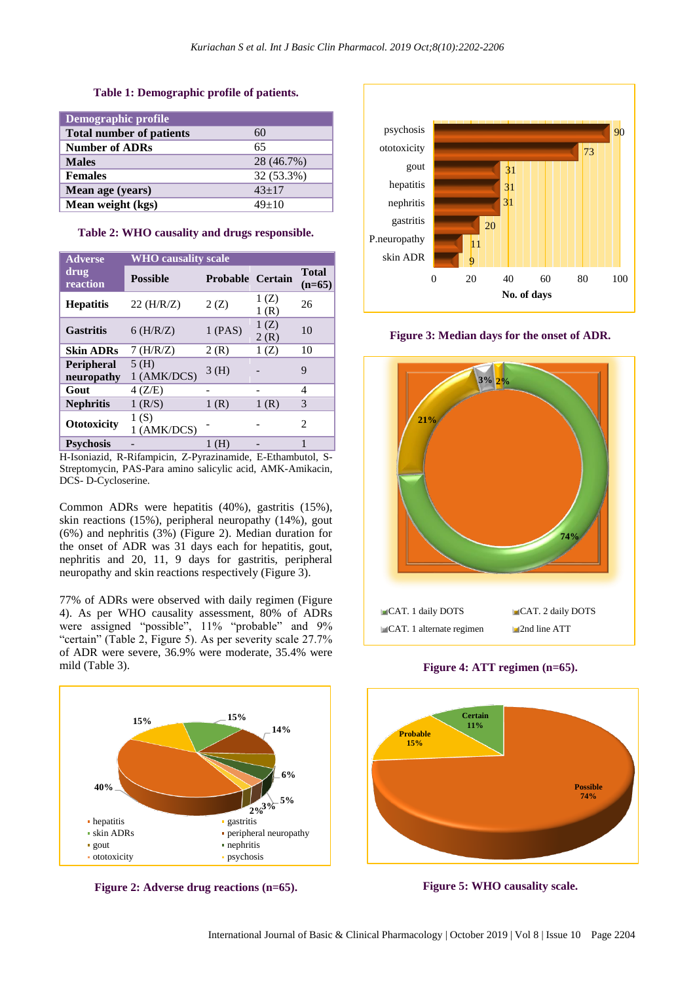#### **Table 1: Demographic profile of patients.**

| Demographic profile             |            |
|---------------------------------|------------|
| <b>Total number of patients</b> | 60         |
| <b>Number of ADRs</b>           | 65         |
| <b>Males</b>                    | 28 (46.7%) |
| <b>Females</b>                  | 32 (53.3%) |
| Mean age (years)                | $43+17$    |
| Mean weight (kgs)               | $49+10$    |

**Table 2: WHO causality and drugs responsible.**

| <b>Adverse</b>                  | <b>WHO</b> causality scale |                         |              |                          |  |
|---------------------------------|----------------------------|-------------------------|--------------|--------------------------|--|
| drug<br>reaction                | <b>Possible</b>            | <b>Probable Certain</b> |              | <b>Total</b><br>$(n=65)$ |  |
| <b>Hepatitis</b>                | $22$ (H/R/Z)               | 2(Z)                    | 1(Z)<br>1(R) | 26                       |  |
| <b>Gastritis</b>                | $6$ (H/R/Z)                | 1(PAS)                  | 1(Z)<br>2(R) | 10                       |  |
| <b>Skin ADRs</b>                | $7$ (H/R/Z)                | 2(R)                    | 1(Z)         | 10                       |  |
| <b>Peripheral</b><br>neuropathy | 5(H)<br>1 (AMK/DCS)        | 3 (H)                   |              | 9                        |  |
| Gout                            | 4(Z/E)                     |                         |              | 4                        |  |
| <b>Nephritis</b>                | $1$ (R/S)                  | 1(R)                    | 1(R)         | 3                        |  |
| <b>Ototoxicity</b>              | 1(S)<br>1 (AMK/DCS)        |                         |              | 2                        |  |
| <b>Psychosis</b>                |                            | (H)                     |              | 1                        |  |

H-Isoniazid, R-Rifampicin, Z-Pyrazinamide, E-Ethambutol, S-Streptomycin, PAS-Para amino salicylic acid, AMK-Amikacin, DCS- D-Cycloserine.

Common ADRs were hepatitis (40%), gastritis (15%), skin reactions (15%), peripheral neuropathy (14%), gout (6%) and nephritis (3%) (Figure 2). Median duration for the onset of ADR was 31 days each for hepatitis, gout, nephritis and 20, 11, 9 days for gastritis, peripheral neuropathy and skin reactions respectively (Figure 3).

77% of ADRs were observed with daily regimen (Figure 4). As per WHO causality assessment, 80% of ADRs were assigned "possible", 11% "probable" and 9% "certain" (Table 2, Figure 5). As per severity scale 27.7% of ADR were severe, 36.9% were moderate, 35.4% were mild (Table 3).



**Figure 2: Adverse drug reactions (n=65).**



**Figure 3: Median days for the onset of ADR.**



**Figure 4: ATT regimen (n=65).**



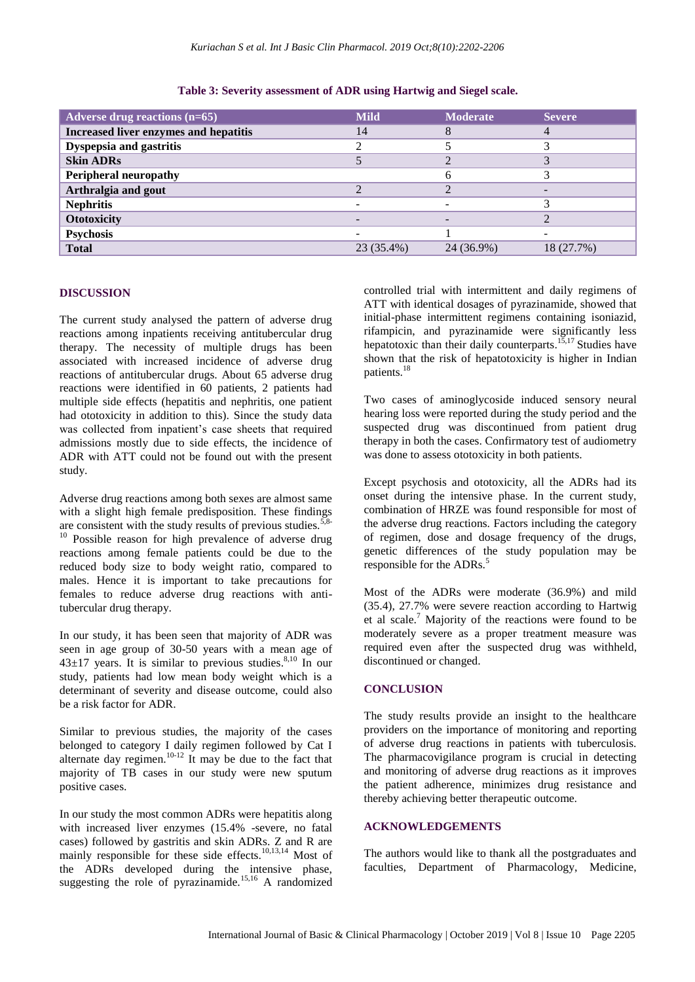| Adverse drug reactions $(n=65)$       | <b>Mild</b> | <b>Moderate</b> | <b>Severe</b> |
|---------------------------------------|-------------|-----------------|---------------|
| Increased liver enzymes and hepatitis | 14          |                 |               |
| Dyspepsia and gastritis               |             |                 |               |
| <b>Skin ADRs</b>                      |             |                 |               |
| <b>Peripheral neuropathy</b>          |             |                 |               |
| Arthralgia and gout                   |             |                 |               |
| <b>Nephritis</b>                      |             |                 |               |
| <b>Ototoxicity</b>                    | -           |                 |               |
| <b>Psychosis</b>                      |             |                 |               |
| <b>Total</b>                          | 23 (35.4%)  | 24 (36.9%)      | 18 (27.7%)    |

#### **Table 3: Severity assessment of ADR using Hartwig and Siegel scale.**

# **DISCUSSION**

The current study analysed the pattern of adverse drug reactions among inpatients receiving antitubercular drug therapy. The necessity of multiple drugs has been associated with increased incidence of adverse drug reactions of antitubercular drugs. About 65 adverse drug reactions were identified in 60 patients, 2 patients had multiple side effects (hepatitis and nephritis, one patient had ototoxicity in addition to this). Since the study data was collected from inpatient's case sheets that required admissions mostly due to side effects, the incidence of ADR with ATT could not be found out with the present study.

Adverse drug reactions among both sexes are almost same with a slight high female predisposition. These findings are consistent with the study results of previous studies.<sup>5,8</sup> <sup>10</sup> Possible reason for high prevalence of adverse drug reactions among female patients could be due to the reduced body size to body weight ratio, compared to males. Hence it is important to take precautions for females to reduce adverse drug reactions with antitubercular drug therapy.

In our study, it has been seen that majority of ADR was seen in age group of 30-50 years with a mean age of  $43\pm17$  years. It is similar to previous studies.<sup>8,10</sup> In our study, patients had low mean body weight which is a determinant of severity and disease outcome, could also be a risk factor for ADR.

Similar to previous studies, the majority of the cases belonged to category I daily regimen followed by Cat I alternate day regimen.<sup>10-12</sup> It may be due to the fact that majority of TB cases in our study were new sputum positive cases.

In our study the most common ADRs were hepatitis along with increased liver enzymes (15.4% -severe, no fatal cases) followed by gastritis and skin ADRs. Z and R are mainly responsible for these side effects.<sup>10,13,14</sup> Most of the ADRs developed during the intensive phase, suggesting the role of pyrazinamide.<sup>15,16</sup> A randomized controlled trial with intermittent and daily regimens of ATT with identical dosages of pyrazinamide, showed that initial-phase intermittent regimens containing isoniazid, rifampicin, and pyrazinamide were significantly less hepatotoxic than their daily counterparts.<sup>15,17</sup> Studies have shown that the risk of hepatotoxicity is higher in Indian patients.<sup>18</sup>

Two cases of aminoglycoside induced sensory neural hearing loss were reported during the study period and the suspected drug was discontinued from patient drug therapy in both the cases. Confirmatory test of audiometry was done to assess ototoxicity in both patients.

Except psychosis and ototoxicity, all the ADRs had its onset during the intensive phase. In the current study, combination of HRZE was found responsible for most of the adverse drug reactions. Factors including the category of regimen, dose and dosage frequency of the drugs, genetic differences of the study population may be responsible for the ADRs.<sup>5</sup>

Most of the ADRs were moderate (36.9%) and mild (35.4), 27.7% were severe reaction according to Hartwig et al scale. <sup>7</sup> Majority of the reactions were found to be moderately severe as a proper treatment measure was required even after the suspected drug was withheld, discontinued or changed.

#### **CONCLUSION**

The study results provide an insight to the healthcare providers on the importance of monitoring and reporting of adverse drug reactions in patients with tuberculosis. The pharmacovigilance program is crucial in detecting and monitoring of adverse drug reactions as it improves the patient adherence, minimizes drug resistance and thereby achieving better therapeutic outcome.

# **ACKNOWLEDGEMENTS**

The authors would like to thank all the postgraduates and faculties, Department of Pharmacology, Medicine,